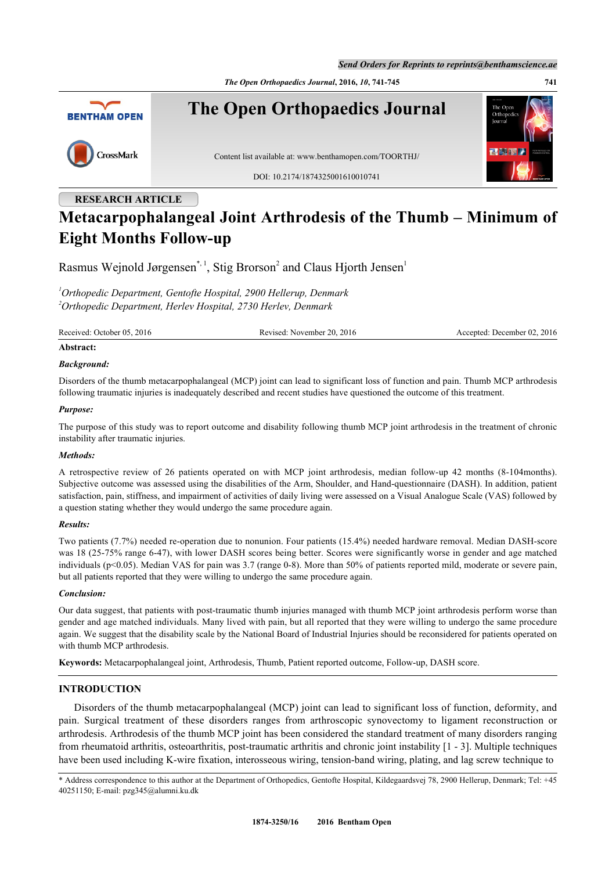*Send Orders for Reprints to reprints@benthamscience.ae*

*The Open Orthopaedics Journal***, 2016,** *10***, 741-745 741**



# **RESEARCH ARTICLE Metacarpophalangeal Joint Arthrodesis of the Thumb – Minimum of Eight Months Follow-up**

Rasmus Wejnold Jørgensen[\\*](#page-0-0),<sup>[1](#page-0-1)</sup>, Stig Brorson<sup>2</sup> and Claus Hjorth Jensen<sup>1</sup>

<span id="page-0-1"></span>*<sup>1</sup>Orthopedic Department, Gentofte Hospital, 2900 Hellerup, Denmark <sup>2</sup>Orthopedic Department, Herlev Hospital, 2730 Herlev, Denmark*

Received: October 05, 2016 Revised: November 20, 2016 Accepted: December 02, 2016

#### **Abstract:**

#### *Background:*

Disorders of the thumb metacarpophalangeal (MCP) joint can lead to significant loss of function and pain. Thumb MCP arthrodesis following traumatic injuries is inadequately described and recent studies have questioned the outcome of this treatment.

#### *Purpose:*

The purpose of this study was to report outcome and disability following thumb MCP joint arthrodesis in the treatment of chronic instability after traumatic injuries.

#### *Methods:*

A retrospective review of 26 patients operated on with MCP joint arthrodesis, median follow-up 42 months (8-104months). Subjective outcome was assessed using the disabilities of the Arm, Shoulder, and Hand-questionnaire (DASH). In addition, patient satisfaction, pain, stiffness, and impairment of activities of daily living were assessed on a Visual Analogue Scale (VAS) followed by a question stating whether they would undergo the same procedure again.

## *Results:*

Two patients (7.7%) needed re-operation due to nonunion. Four patients (15.4%) needed hardware removal. Median DASH-score was 18 (25-75% range 6-47), with lower DASH scores being better. Scores were significantly worse in gender and age matched individuals (p<0.05). Median VAS for pain was 3.7 (range 0-8). More than 50% of patients reported mild, moderate or severe pain, but all patients reported that they were willing to undergo the same procedure again.

## *Conclusion:*

Our data suggest, that patients with post-traumatic thumb injuries managed with thumb MCP joint arthrodesis perform worse than gender and age matched individuals. Many lived with pain, but all reported that they were willing to undergo the same procedure again. We suggest that the disability scale by the National Board of Industrial Injuries should be reconsidered for patients operated on with thumb MCP arthrodesis.

**Keywords:** Metacarpophalangeal joint, Arthrodesis, Thumb, Patient reported outcome, Follow-up, DASH score.

# **INTRODUCTION**

Disorders of the thumb metacarpophalangeal (MCP) joint can lead to significant loss of function, deformity, and pain. Surgical treatment of these disorders ranges from arthroscopic synovectomy to ligament reconstruction or arthrodesis. Arthrodesis of the thumb MCP joint has been considered the standard treatment of many disorders ranging from rheumatoid arthritis, osteoarthritis, post-traumatic arthritis and chronic joint instability [[1](#page-4-0) - [3](#page-4-1)]. Multiple techniques have been used including K-wire fixation, interosseous wiring, tension-band wiring, plating, and lag screw technique to

<span id="page-0-0"></span>\* Address correspondence to this author at the Department of Orthopedics, Gentofte Hospital, Kildegaardsvej 78, 2900 Hellerup, Denmark; Tel: +45 40251150; E-mail: [pzg345@alumni.ku.dk](mailto:Pzg345@alumni.ku.dk)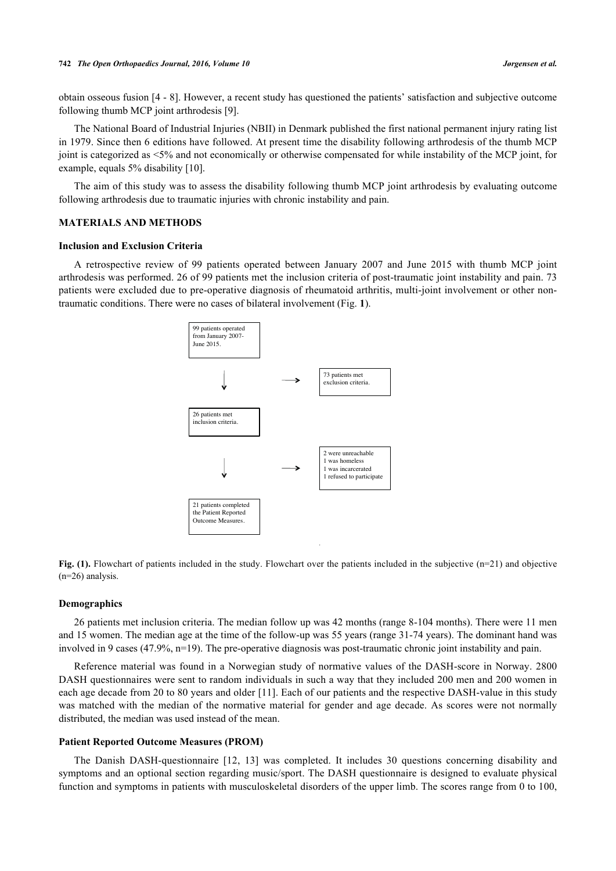obtain osseous fusion [\[4](#page-4-2) - [8\]](#page-4-3). However, a recent study has questioned the patients' satisfaction and subjective outcome following thumb MCP joint arthrodesis [\[9](#page-4-4)].

The National Board of Industrial Injuries (NBII) in Denmark published the first national permanent injury rating list in 1979. Since then 6 editions have followed. At present time the disability following arthrodesis of the thumb MCP joint is categorized as <5% and not economically or otherwise compensated for while instability of the MCP joint, for example, equals 5% disability [[10\]](#page-4-5).

The aim of this study was to assess the disability following thumb MCP joint arthrodesis by evaluating outcome following arthrodesis due to traumatic injuries with chronic instability and pain.

# **MATERIALS AND METHODS**

#### **Inclusion and Exclusion Criteria**

<span id="page-1-0"></span>A retrospective review of 99 patients operated between January 2007 and June 2015 with thumb MCP joint arthrodesis was performed. 26 of 99 patients met the inclusion criteria of post-traumatic joint instability and pain. 73 patients were excluded due to pre-operative diagnosis of rheumatoid arthritis, multi-joint involvement or other nontraumatic conditions. There were no cases of bilateral involvement (Fig. **[1](#page-1-0)**).



**Fig. (1).** Flowchart of patients included in the study. Flowchart over the patients included in the subjective (n=21) and objective (n=26) analysis.

#### **Demographics**

26 patients met inclusion criteria. The median follow up was 42 months (range 8-104 months). There were 11 men and 15 women. The median age at the time of the follow-up was 55 years (range 31-74 years). The dominant hand was involved in 9 cases (47.9%, n=19). The pre-operative diagnosis was post-traumatic chronic joint instability and pain.

Reference material was found in a Norwegian study of normative values of the DASH-score in Norway. 2800 DASH questionnaires were sent to random individuals in such a way that they included 200 men and 200 women in each age decade from 20 to 80 years and older [[11](#page-4-6)]. Each of our patients and the respective DASH-value in this study was matched with the median of the normative material for gender and age decade. As scores were not normally distributed, the median was used instead of the mean.

## **Patient Reported Outcome Measures (PROM)**

The Danish DASH-questionnaire [\[12,](#page-4-7) [13\]](#page-4-8) was completed. It includes 30 questions concerning disability and symptoms and an optional section regarding music/sport. The DASH questionnaire is designed to evaluate physical function and symptoms in patients with musculoskeletal disorders of the upper limb. The scores range from 0 to 100,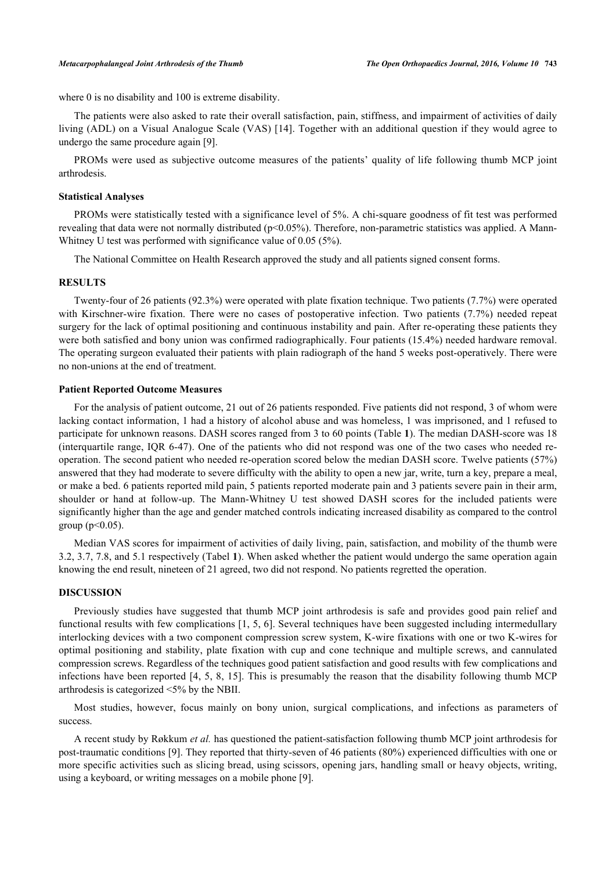where 0 is no disability and 100 is extreme disability.

The patients were also asked to rate their overall satisfaction, pain, stiffness, and impairment of activities of daily living (ADL) on a Visual Analogue Scale (VAS) [[14](#page-4-9)]. Together with an additional question if they would agree to undergo the same procedure again [[9\]](#page-4-4).

PROMs were used as subjective outcome measures of the patients' quality of life following thumb MCP joint arthrodesis.

## **Statistical Analyses**

PROMs were statistically tested with a significance level of 5%. A chi-square goodness of fit test was performed revealing that data were not normally distributed (p<0.05%). Therefore, non-parametric statistics was applied. A Mann-Whitney U test was performed with significance value of 0.05 (5%).

The National Committee on Health Research approved the study and all patients signed consent forms.

## **RESULTS**

Twenty-four of 26 patients (92.3%) were operated with plate fixation technique. Two patients (7.7%) were operated with Kirschner-wire fixation. There were no cases of postoperative infection. Two patients (7.7%) needed repeat surgery for the lack of optimal positioning and continuous instability and pain. After re-operating these patients they were both satisfied and bony union was confirmed radiographically. Four patients (15.4%) needed hardware removal. The operating surgeon evaluated their patients with plain radiograph of the hand 5 weeks post-operatively. There were no non-unions at the end of treatment.

# **Patient Reported Outcome Measures**

For the analysis of patient outcome, 21 out of 26 patients responded. Five patients did not respond, 3 of whom were lacking contact information, 1 had a history of alcohol abuse and was homeless, 1 was imprisoned, and 1 refused to participate for unknown reasons. DASH scores ranged from 3 to 60 points (Table **[1](#page-2-0)**). The median DASH-score was 18 (interquartile range, IQR 6-47). One of the patients who did not respond was one of the two cases who needed reoperation. The second patient who needed re-operation scored below the median DASH score. Twelve patients (57%) answered that they had moderate to severe difficulty with the ability to open a new jar, write, turn a key, prepare a meal, or make a bed. 6 patients reported mild pain, 5 patients reported moderate pain and 3 patients severe pain in their arm, shoulder or hand at follow-up. The Mann-Whitney U test showed DASH scores for the included patients were significantly higher than the age and gender matched controls indicating increased disability as compared to the control group ( $p$  < 0.05).

Median VAS scores for impairment of activities of daily living, pain, satisfaction, and mobility of the thumb were 3.2, 3.7, 7.8, and 5.1 respectively (Tabel **[1](#page-2-0)**). When asked whether the patient would undergo the same operation again knowing the end result, nineteen of 21 agreed, two did not respond. No patients regretted the operation.

## **DISCUSSION**

Previously studies have suggested that thumb MCP joint arthrodesis is safe and provides good pain relief and functional results with few complications [[1,](#page-4-0) [5,](#page-4-10) [6](#page-4-11)]. Several techniques have been suggested including intermedullary interlocking devices with a two component compression screw system, K-wire fixations with one or two K-wires for optimal positioning and stability, plate fixation with cup and cone technique and multiple screws, and cannulated compression screws. Regardless of the techniques good patient satisfaction and good results with few complications and infections have been reported [[4,](#page-4-2) [5,](#page-4-10) [8,](#page-4-3) [15](#page-4-12)]. This is presumably the reason that the disability following thumb MCP arthrodesis is categorized <5% by the NBII.

Most studies, however, focus mainly on bony union, surgical complications, and infections as parameters of success.

<span id="page-2-0"></span>A recent study by Røkkum *et al.* has questioned the patient-satisfaction following thumb MCP joint arthrodesis for post-traumatic conditions [[9\]](#page-4-4). They reported that thirty-seven of 46 patients (80%) experienced difficulties with one or more specific activities such as slicing bread, using scissors, opening jars, handling small or heavy objects, writing, using a keyboard, or writing messages on a mobile phone [\[9](#page-4-4)].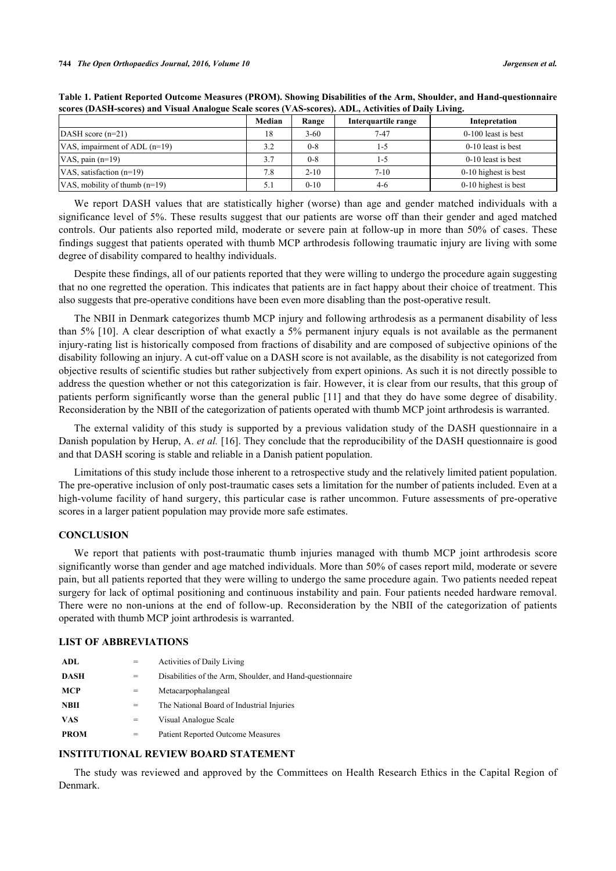|                                 | Median | Range    | Interquartile range | Intepretation        |
|---------------------------------|--------|----------|---------------------|----------------------|
| $DASH score (n=21)$             | 18     | $3 - 60$ | $7 - 47$            | 0-100 least is best  |
| VAS, impairment of ADL $(n=19)$ | 3.2    | $0 - 8$  | 1-3                 | $0-10$ least is best |
| VAS, pain $(n=19)$              | 3.7    | $0 - 8$  | 1-5                 | $0-10$ least is best |
| VAS, satisfaction $(n=19)$      | 7.8    | $2 - 10$ | $7 - 10$            | 0-10 highest is best |
| VAS, mobility of thumb $(n=19)$ |        | $0 - 10$ | $4-6$               | 0-10 highest is best |

**Table 1. Patient Reported Outcome Measures (PROM). Showing Disabilities of the Arm, Shoulder, and Hand-questionnaire scores (DASH-scores) and Visual Analogue Scale scores (VAS-scores). ADL, Activities of Daily Living.**

We report DASH values that are statistically higher (worse) than age and gender matched individuals with a significance level of 5%. These results suggest that our patients are worse off than their gender and aged matched controls. Our patients also reported mild, moderate or severe pain at follow-up in more than 50% of cases. These findings suggest that patients operated with thumb MCP arthrodesis following traumatic injury are living with some degree of disability compared to healthy individuals.

Despite these findings, all of our patients reported that they were willing to undergo the procedure again suggesting that no one regretted the operation. This indicates that patients are in fact happy about their choice of treatment. This also suggests that pre-operative conditions have been even more disabling than the post-operative result.

The NBII in Denmark categorizes thumb MCP injury and following arthrodesis as a permanent disability of less than 5% [\[10\]](#page-4-5). A clear description of what exactly a 5% permanent injury equals is not available as the permanent injury-rating list is historically composed from fractions of disability and are composed of subjective opinions of the disability following an injury. A cut-off value on a DASH score is not available, as the disability is not categorized from objective results of scientific studies but rather subjectively from expert opinions. As such it is not directly possible to address the question whether or not this categorization is fair. However, it is clear from our results, that this group of patients perform significantly worse than the general public [\[11](#page-4-6)] and that they do have some degree of disability. Reconsideration by the NBII of the categorization of patients operated with thumb MCP joint arthrodesis is warranted.

The external validity of this study is supported by a previous validation study of the DASH questionnaire in a Danish population by Herup, A. *et al.* [[16](#page-4-13)]. They conclude that the reproducibility of the DASH questionnaire is good and that DASH scoring is stable and reliable in a Danish patient population.

Limitations of this study include those inherent to a retrospective study and the relatively limited patient population. The pre-operative inclusion of only post-traumatic cases sets a limitation for the number of patients included. Even at a high-volume facility of hand surgery, this particular case is rather uncommon. Future assessments of pre-operative scores in a larger patient population may provide more safe estimates.

## **CONCLUSION**

We report that patients with post-traumatic thumb injuries managed with thumb MCP joint arthrodesis score significantly worse than gender and age matched individuals. More than 50% of cases report mild, moderate or severe pain, but all patients reported that they were willing to undergo the same procedure again. Two patients needed repeat surgery for lack of optimal positioning and continuous instability and pain. Four patients needed hardware removal. There were no non-unions at the end of follow-up. Reconsideration by the NBII of the categorization of patients operated with thumb MCP joint arthrodesis is warranted.

# **LIST OF ABBREVIATIONS**

| ADL         | $=$ | <b>Activities of Daily Living</b>                         |
|-------------|-----|-----------------------------------------------------------|
| <b>DASH</b> | $=$ | Disabilities of the Arm, Shoulder, and Hand-questionnaire |
| <b>MCP</b>  | $=$ | Metacarpophalangeal                                       |
| <b>NBII</b> | =   | The National Board of Industrial Injuries                 |
| <b>VAS</b>  | =   | Visual Analogue Scale                                     |
| <b>PROM</b> | =   | <b>Patient Reported Outcome Measures</b>                  |

# **INSTITUTIONAL REVIEW BOARD STATEMENT**

The study was reviewed and approved by the Committees on Health Research Ethics in the Capital Region of Denmark.